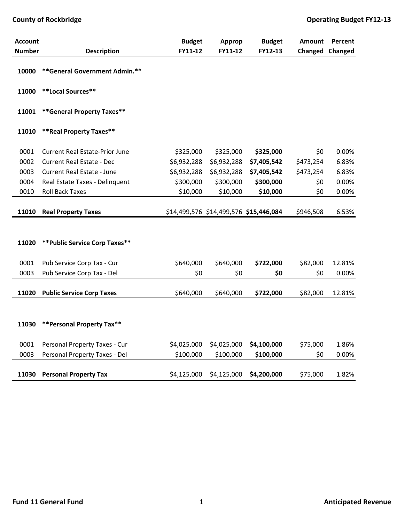| <b>Account</b> |                                       | <b>Budget</b> | Approp                                 | <b>Budget</b> | <b>Amount</b> | Percent |
|----------------|---------------------------------------|---------------|----------------------------------------|---------------|---------------|---------|
| <b>Number</b>  | <b>Description</b>                    | FY11-12       | FY11-12                                | FY12-13       | Changed       | Changed |
| 10000          | **General Government Admin.**         |               |                                        |               |               |         |
| 11000          | **Local Sources**                     |               |                                        |               |               |         |
| 11001          | **General Property Taxes**            |               |                                        |               |               |         |
| 11010          | ** Real Property Taxes**              |               |                                        |               |               |         |
| 0001           | <b>Current Real Estate-Prior June</b> | \$325,000     | \$325,000                              | \$325,000     | \$0           | 0.00%   |
| 0002           | <b>Current Real Estate - Dec</b>      | \$6,932,288   | \$6,932,288                            | \$7,405,542   | \$473,254     | 6.83%   |
| 0003           | <b>Current Real Estate - June</b>     | \$6,932,288   | \$6,932,288                            | \$7,405,542   | \$473,254     | 6.83%   |
| 0004           | Real Estate Taxes - Delinquent        | \$300,000     | \$300,000                              | \$300,000     | \$0           | 0.00%   |
| 0010           | <b>Roll Back Taxes</b>                | \$10,000      | \$10,000                               | \$10,000      | \$0           | 0.00%   |
|                |                                       |               |                                        |               |               |         |
| 11010          | <b>Real Property Taxes</b>            |               | \$14,499,576 \$14,499,576 \$15,446,084 |               | \$946,508     | 6.53%   |
|                |                                       |               |                                        |               |               |         |
| 11020          | ** Public Service Corp Taxes**        |               |                                        |               |               |         |
| 0001           | Pub Service Corp Tax - Cur            | \$640,000     | \$640,000                              | \$722,000     | \$82,000      | 12.81%  |
| 0003           | Pub Service Corp Tax - Del            | \$0           | \$0                                    | \$0           | \$0           | 0.00%   |
|                |                                       |               |                                        |               |               |         |
| 11020          | <b>Public Service Corp Taxes</b>      | \$640,000     | \$640,000                              | \$722,000     | \$82,000      | 12.81%  |
|                |                                       |               |                                        |               |               |         |
| 11030          | **Personal Property Tax**             |               |                                        |               |               |         |
| 0001           | Personal Property Taxes - Cur         | \$4,025,000   | \$4,025,000                            | \$4,100,000   | \$75,000      | 1.86%   |
| 0003           | Personal Property Taxes - Del         | \$100,000     | \$100,000                              | \$100,000     | \$0           | 0.00%   |
| 11030          | <b>Personal Property Tax</b>          | \$4,125,000   | \$4,125,000                            | \$4,200,000   | \$75,000      | 1.82%   |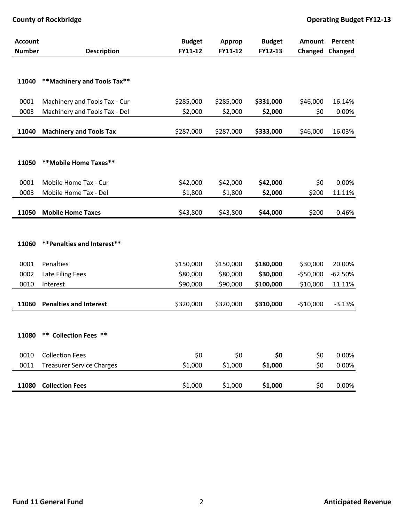| <b>Account</b> |                                  | <b>Budget</b> | Approp    | <b>Budget</b> | Amount     | Percent   |
|----------------|----------------------------------|---------------|-----------|---------------|------------|-----------|
| <b>Number</b>  | <b>Description</b>               | FY11-12       | FY11-12   | FY12-13       | Changed    | Changed   |
|                |                                  |               |           |               |            |           |
|                |                                  |               |           |               |            |           |
| 11040          | **Machinery and Tools Tax**      |               |           |               |            |           |
| 0001           | Machinery and Tools Tax - Cur    | \$285,000     | \$285,000 | \$331,000     | \$46,000   | 16.14%    |
| 0003           | Machinery and Tools Tax - Del    | \$2,000       | \$2,000   | \$2,000       | \$0        | 0.00%     |
|                |                                  |               |           |               |            |           |
| 11040          | <b>Machinery and Tools Tax</b>   | \$287,000     | \$287,000 | \$333,000     | \$46,000   | 16.03%    |
|                |                                  |               |           |               |            |           |
|                |                                  |               |           |               |            |           |
| 11050          | **Mobile Home Taxes**            |               |           |               |            |           |
|                |                                  |               |           |               |            |           |
| 0001           | Mobile Home Tax - Cur            | \$42,000      | \$42,000  | \$42,000      | \$0        | 0.00%     |
| 0003           | Mobile Home Tax - Del            | \$1,800       | \$1,800   | \$2,000       | \$200      | 11.11%    |
|                |                                  |               |           |               |            |           |
| 11050          | <b>Mobile Home Taxes</b>         | \$43,800      | \$43,800  | \$44,000      | \$200      | 0.46%     |
|                |                                  |               |           |               |            |           |
| 11060          | ** Penalties and Interest**      |               |           |               |            |           |
|                |                                  |               |           |               |            |           |
| 0001           | Penalties                        | \$150,000     | \$150,000 | \$180,000     | \$30,000   | 20.00%    |
| 0002           | Late Filing Fees                 | \$80,000      | \$80,000  | \$30,000      | $-550,000$ | $-62.50%$ |
| 0010           | Interest                         | \$90,000      | \$90,000  | \$100,000     | \$10,000   | 11.11%    |
|                |                                  |               |           |               |            |           |
| 11060          | <b>Penalties and Interest</b>    | \$320,000     | \$320,000 | \$310,000     | $-$10,000$ | $-3.13%$  |
|                |                                  |               |           |               |            |           |
|                |                                  |               |           |               |            |           |
| 11080          | ** Collection Fees **            |               |           |               |            |           |
|                |                                  |               |           |               |            |           |
| 0010           | <b>Collection Fees</b>           | \$0           | \$0       | \$0           | \$0        | 0.00%     |
| 0011           | <b>Treasurer Service Charges</b> | \$1,000       | \$1,000   | \$1,000       | \$0        | 0.00%     |
|                |                                  |               |           |               |            |           |
|                | 11080 Collection Fees            | \$1,000       | \$1,000   | \$1,000       | \$0        | 0.00%     |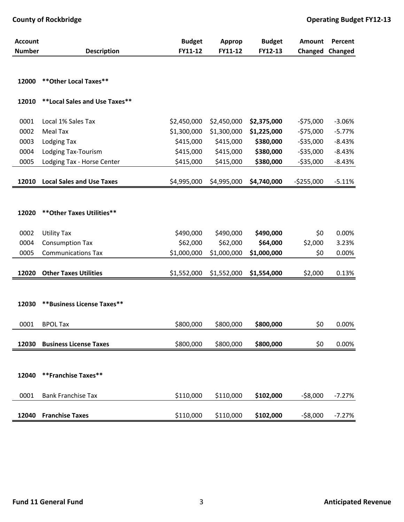| <b>Account</b> |                                  | <b>Budget</b> | Approp      | <b>Budget</b> | Amount      | Percent  |
|----------------|----------------------------------|---------------|-------------|---------------|-------------|----------|
| <b>Number</b>  | <b>Description</b>               | FY11-12       | FY11-12     | FY12-13       | Changed     | Changed  |
| 12000          | ** Other Local Taxes**           |               |             |               |             |          |
|                |                                  |               |             |               |             |          |
| 12010          | **Local Sales and Use Taxes**    |               |             |               |             |          |
| 0001           | Local 1% Sales Tax               | \$2,450,000   | \$2,450,000 | \$2,375,000   | $-575,000$  | $-3.06%$ |
| 0002           | <b>Meal Tax</b>                  | \$1,300,000   | \$1,300,000 | \$1,225,000   | $-575,000$  | $-5.77%$ |
| 0003           | Lodging Tax                      | \$415,000     | \$415,000   | \$380,000     | $-535,000$  | $-8.43%$ |
| 0004           | Lodging Tax-Tourism              | \$415,000     | \$415,000   | \$380,000     | $-535,000$  | $-8.43%$ |
| 0005           | Lodging Tax - Horse Center       | \$415,000     | \$415,000   | \$380,000     | $-535,000$  | $-8.43%$ |
|                |                                  |               |             |               |             |          |
| 12010          | <b>Local Sales and Use Taxes</b> | \$4,995,000   | \$4,995,000 | \$4,740,000   | $-5255,000$ | $-5.11%$ |
|                |                                  |               |             |               |             |          |
|                |                                  |               |             |               |             |          |
| 12020          | ** Other Taxes Utilities**       |               |             |               |             |          |
|                |                                  |               |             |               |             |          |
| 0002           | <b>Utility Tax</b>               | \$490,000     | \$490,000   | \$490,000     | \$0         | 0.00%    |
| 0004           | <b>Consumption Tax</b>           | \$62,000      | \$62,000    | \$64,000      | \$2,000     | 3.23%    |
| 0005           | <b>Communications Tax</b>        | \$1,000,000   | \$1,000,000 | \$1,000,000   | \$0         | 0.00%    |
|                |                                  |               |             |               |             |          |
| 12020          | <b>Other Taxes Utilities</b>     | \$1,552,000   | \$1,552,000 | \$1,554,000   | \$2,000     | 0.13%    |
|                |                                  |               |             |               |             |          |
| 12030          | **Business License Taxes**       |               |             |               |             |          |
|                |                                  |               |             |               |             |          |
| 0001           | <b>BPOL Tax</b>                  | \$800,000     | \$800,000   | \$800,000     | \$0         | 0.00%    |
|                |                                  |               |             |               |             |          |
| 12030          | <b>Business License Taxes</b>    | \$800,000     | \$800,000   | \$800,000     | \$0         | 0.00%    |
|                |                                  |               |             |               |             |          |
|                |                                  |               |             |               |             |          |
| 12040          | **Franchise Taxes**              |               |             |               |             |          |
|                |                                  |               |             |               |             |          |
| 0001           | <b>Bank Franchise Tax</b>        | \$110,000     | \$110,000   | \$102,000     | $-58,000$   | $-7.27%$ |
| 12040          | <b>Franchise Taxes</b>           | \$110,000     | \$110,000   | \$102,000     | $-58,000$   | $-7.27%$ |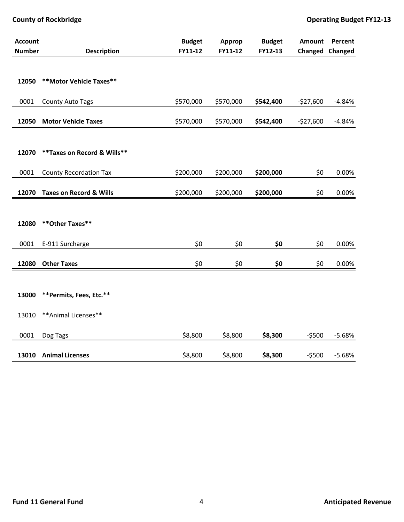| <b>Account</b> |                                    | <b>Budget</b> | Approp    | <b>Budget</b> | Amount     | Percent         |
|----------------|------------------------------------|---------------|-----------|---------------|------------|-----------------|
| <b>Number</b>  | <b>Description</b>                 | FY11-12       | FY11-12   | FY12-13       |            | Changed Changed |
|                |                                    |               |           |               |            |                 |
|                |                                    |               |           |               |            |                 |
| 12050          | ** Motor Vehicle Taxes**           |               |           |               |            |                 |
|                |                                    |               |           |               |            |                 |
| 0001           | County Auto Tags                   | \$570,000     | \$570,000 | \$542,400     | $-$27,600$ | $-4.84%$        |
|                |                                    |               |           |               |            |                 |
| 12050          | <b>Motor Vehicle Taxes</b>         | \$570,000     | \$570,000 | \$542,400     | $-$27,600$ | $-4.84%$        |
|                |                                    |               |           |               |            |                 |
|                |                                    |               |           |               |            |                 |
| 12070          | ** Taxes on Record & Wills**       |               |           |               |            |                 |
|                |                                    |               |           |               |            |                 |
| 0001           | <b>County Recordation Tax</b>      | \$200,000     | \$200,000 | \$200,000     | \$0        | 0.00%           |
| 12070          | <b>Taxes on Record &amp; Wills</b> | \$200,000     | \$200,000 | \$200,000     | \$0        | 0.00%           |
|                |                                    |               |           |               |            |                 |
|                |                                    |               |           |               |            |                 |
| 12080          | ** Other Taxes**                   |               |           |               |            |                 |
|                |                                    |               |           |               |            |                 |
| 0001           | E-911 Surcharge                    | \$0           | \$0       | \$0           | \$0        | 0.00%           |
|                |                                    |               |           |               |            |                 |
| 12080          | <b>Other Taxes</b>                 | \$0           | \$0       | \$0           | \$0        | 0.00%           |
|                |                                    |               |           |               |            |                 |
|                |                                    |               |           |               |            |                 |
| 13000          | **Permits, Fees, Etc.**            |               |           |               |            |                 |
|                |                                    |               |           |               |            |                 |
| 13010          | ** Animal Licenses**               |               |           |               |            |                 |
|                |                                    |               |           |               |            |                 |
| 0001           | Dog Tags                           | \$8,800       | \$8,800   | \$8,300       | $-5500$    | $-5.68%$        |
|                |                                    |               |           |               |            |                 |
| 13010          | <b>Animal Licenses</b>             | \$8,800       | \$8,800   | \$8,300       | $-5500$    | $-5.68%$        |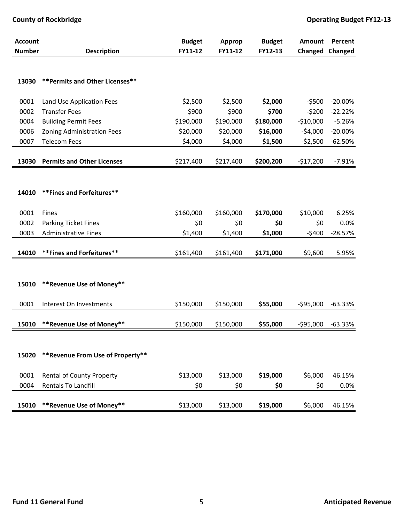| <b>Account</b> |                                   | <b>Budget</b> | Approp    | <b>Budget</b> | <b>Amount</b> | Percent   |
|----------------|-----------------------------------|---------------|-----------|---------------|---------------|-----------|
| <b>Number</b>  | <b>Description</b>                | FY11-12       | FY11-12   | FY12-13       | Changed       | Changed   |
|                |                                   |               |           |               |               |           |
| 13030          | ** Permits and Other Licenses**   |               |           |               |               |           |
|                |                                   |               |           |               |               |           |
| 0001           | Land Use Application Fees         | \$2,500       | \$2,500   | \$2,000       | $-5500$       | $-20.00%$ |
| 0002           | <b>Transfer Fees</b>              | \$900         | \$900     | \$700         | $-5200$       | $-22.22%$ |
| 0004           | <b>Building Permit Fees</b>       | \$190,000     | \$190,000 | \$180,000     | $-$10,000$    | $-5.26%$  |
| 0006           | Zoning Administration Fees        | \$20,000      | \$20,000  | \$16,000      | $-54,000$     | $-20.00%$ |
| 0007           | <b>Telecom Fees</b>               | \$4,000       | \$4,000   | \$1,500       | $-52,500$     | $-62.50%$ |
|                |                                   |               |           |               |               |           |
| 13030          | <b>Permits and Other Licenses</b> | \$217,400     | \$217,400 | \$200,200     | $-$17,200$    | $-7.91%$  |
|                |                                   |               |           |               |               |           |
|                |                                   |               |           |               |               |           |
| 14010          | ** Fines and Forfeitures**        |               |           |               |               |           |
|                |                                   |               |           |               |               |           |
| 0001           | Fines                             | \$160,000     | \$160,000 | \$170,000     | \$10,000      | 6.25%     |
| 0002           | Parking Ticket Fines              | \$0           | \$0       | \$0           | \$0           | 0.0%      |
| 0003           | <b>Administrative Fines</b>       | \$1,400       | \$1,400   | \$1,000       | $-5400$       | $-28.57%$ |
|                |                                   |               |           |               |               |           |
| 14010          | ** Fines and Forfeitures**        | \$161,400     | \$161,400 | \$171,000     | \$9,600       | 5.95%     |
|                |                                   |               |           |               |               |           |
|                |                                   |               |           |               |               |           |
| 15010          | **Revenue Use of Money**          |               |           |               |               |           |
|                |                                   |               |           |               |               |           |
| 0001           | Interest On Investments           | \$150,000     | \$150,000 | \$55,000      | $-595,000$    | $-63.33%$ |
|                |                                   |               |           |               |               |           |
| 15010          | **Revenue Use of Money**          | \$150,000     | \$150,000 | \$55,000      | $-595,000$    | $-63.33%$ |
|                |                                   |               |           |               |               |           |
|                |                                   |               |           |               |               |           |
| 15020          | ** Revenue From Use of Property** |               |           |               |               |           |
|                |                                   |               |           |               |               |           |
| 0001           | <b>Rental of County Property</b>  | \$13,000      | \$13,000  | \$19,000      | \$6,000       | 46.15%    |
| 0004           | Rentals To Landfill               | \$0           | \$0       | \$0           | \$0           | 0.0%      |
|                |                                   |               |           |               |               |           |
| 15010          | **Revenue Use of Money**          | \$13,000      | \$13,000  | \$19,000      | \$6,000       | 46.15%    |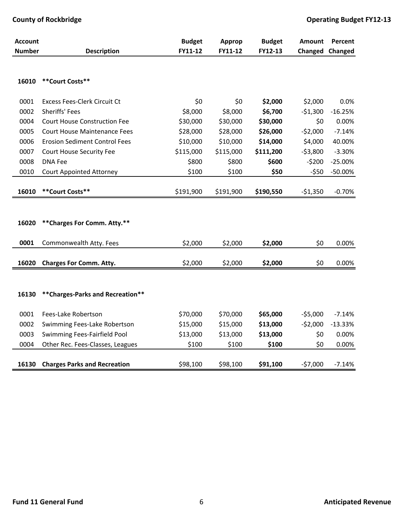| Account       |                                      | <b>Budget</b> | Approp    | <b>Budget</b> | Amount    | Percent   |
|---------------|--------------------------------------|---------------|-----------|---------------|-----------|-----------|
| <b>Number</b> | <b>Description</b>                   | FY11-12       | FY11-12   | FY12-13       | Changed   | Changed   |
|               |                                      |               |           |               |           |           |
| 16010         | **Court Costs**                      |               |           |               |           |           |
| 0001          | Excess Fees-Clerk Circuit Ct         | \$0           | \$0       | \$2,000       | \$2,000   | 0.0%      |
| 0002          | Sheriffs' Fees                       | \$8,000       | \$8,000   | \$6,700       | $-$1,300$ | $-16.25%$ |
| 0004          | <b>Court House Construction Fee</b>  | \$30,000      | \$30,000  | \$30,000      | \$0       | 0.00%     |
| 0005          | <b>Court House Maintenance Fees</b>  | \$28,000      | \$28,000  | \$26,000      | $-52,000$ | $-7.14%$  |
| 0006          | <b>Erosion Sediment Control Fees</b> | \$10,000      | \$10,000  | \$14,000      | \$4,000   | 40.00%    |
| 0007          | <b>Court House Security Fee</b>      | \$115,000     | \$115,000 | \$111,200     | $-53,800$ | $-3.30%$  |
| 0008          | <b>DNA Fee</b>                       | \$800         | \$800     | \$600         | $-5200$   | $-25.00%$ |
| 0010          | <b>Court Appointed Attorney</b>      | \$100         | \$100     | \$50          | $-550$    | $-50.00%$ |
|               |                                      |               |           |               |           |           |
| 16010         | **Court Costs**                      | \$191,900     | \$191,900 | \$190,550     | $-$1,350$ | $-0.70%$  |
|               |                                      |               |           |               |           |           |
|               |                                      |               |           |               |           |           |
| 16020         | ** Charges For Comm. Atty.**         |               |           |               |           |           |
| 0001          | Commonwealth Atty. Fees              | \$2,000       | \$2,000   | \$2,000       | \$0       | 0.00%     |
| 16020         | <b>Charges For Comm. Atty.</b>       | \$2,000       | \$2,000   | \$2,000       | \$0       | 0.00%     |
|               |                                      |               |           |               |           |           |
|               |                                      |               |           |               |           |           |
| 16130         | ** Charges-Parks and Recreation**    |               |           |               |           |           |
| 0001          | Fees-Lake Robertson                  | \$70,000      | \$70,000  | \$65,000      | $-55,000$ | $-7.14%$  |
| 0002          | Swimming Fees-Lake Robertson         | \$15,000      | \$15,000  | \$13,000      | $-52,000$ | $-13.33%$ |
| 0003          | Swimming Fees-Fairfield Pool         | \$13,000      | \$13,000  | \$13,000      | \$0       | 0.00%     |
| 0004          | Other Rec. Fees-Classes, Leagues     | \$100         | \$100     | \$100         | \$0       | 0.00%     |
|               |                                      |               |           |               |           |           |
| 16130         | <b>Charges Parks and Recreation</b>  | \$98,100      | \$98,100  | \$91,100      | $-57,000$ | $-7.14%$  |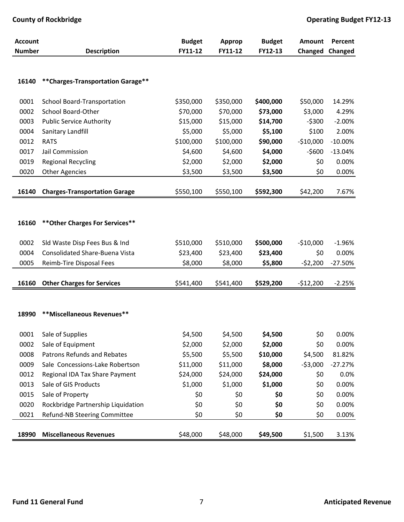| <b>Account</b> |                                       | <b>Budget</b> | Approp    | <b>Budget</b> | <b>Amount</b> | Percent   |
|----------------|---------------------------------------|---------------|-----------|---------------|---------------|-----------|
| <b>Number</b>  | <b>Description</b>                    | FY11-12       | FY11-12   | FY12-13       | Changed       | Changed   |
|                |                                       |               |           |               |               |           |
|                |                                       |               |           |               |               |           |
| 16140          | ** Charges-Transportation Garage**    |               |           |               |               |           |
| 0001           | School Board-Transportation           | \$350,000     | \$350,000 | \$400,000     | \$50,000      | 14.29%    |
| 0002           | School Board-Other                    | \$70,000      | \$70,000  | \$73,000      | \$3,000       | 4.29%     |
| 0003           | <b>Public Service Authority</b>       | \$15,000      | \$15,000  | \$14,700      | $-$ \$300     | $-2.00%$  |
| 0004           | Sanitary Landfill                     | \$5,000       | \$5,000   | \$5,100       | \$100         | 2.00%     |
| 0012           | <b>RATS</b>                           | \$100,000     | \$100,000 | \$90,000      | $-$10,000$    | $-10.00%$ |
| 0017           | Jail Commission                       | \$4,600       | \$4,600   | \$4,000       | $-5600$       | $-13.04%$ |
| 0019           | <b>Regional Recycling</b>             | \$2,000       | \$2,000   | \$2,000       | \$0           | 0.00%     |
| 0020           | <b>Other Agencies</b>                 | \$3,500       | \$3,500   | \$3,500       | \$0           | 0.00%     |
|                |                                       |               |           |               |               |           |
| 16140          | <b>Charges-Transportation Garage</b>  | \$550,100     | \$550,100 | \$592,300     | \$42,200      | 7.67%     |
|                |                                       |               |           |               |               |           |
|                |                                       |               |           |               |               |           |
| 16160          | ** Other Charges For Services**       |               |           |               |               |           |
|                |                                       |               |           |               |               |           |
| 0002           | Sld Waste Disp Fees Bus & Ind         | \$510,000     | \$510,000 | \$500,000     | $-$10,000$    | $-1.96%$  |
| 0004           | <b>Consolidated Share-Buena Vista</b> | \$23,400      | \$23,400  | \$23,400      | \$0           | 0.00%     |
| 0005           | Reimb-Tire Disposal Fees              | \$8,000       | \$8,000   | \$5,800       | $-52,200$     | $-27.50%$ |
|                |                                       |               |           |               |               |           |
| 16160          | <b>Other Charges for Services</b>     | \$541,400     | \$541,400 | \$529,200     | $-$12,200$    | $-2.25%$  |
|                |                                       |               |           |               |               |           |
|                |                                       |               |           |               |               |           |
| 18990          | **Miscellaneous Revenues**            |               |           |               |               |           |
| 0001           | Sale of Supplies                      | \$4,500       | \$4,500   | \$4,500       | \$0           | 0.00%     |
| 0002           | Sale of Equipment                     | \$2,000       | \$2,000   | \$2,000       | \$0           | 0.00%     |
| 0008           | Patrons Refunds and Rebates           | \$5,500       | \$5,500   | \$10,000      | \$4,500       | 81.82%    |
| 0009           | Sale Concessions-Lake Robertson       | \$11,000      | \$11,000  | \$8,000       | $-53,000$     | $-27.27%$ |
| 0012           | Regional IDA Tax Share Payment        | \$24,000      | \$24,000  | \$24,000      | \$0           | 0.0%      |
| 0013           | Sale of GIS Products                  | \$1,000       | \$1,000   | \$1,000       | \$0           | 0.00%     |
| 0015           | Sale of Property                      | \$0           | \$0       | \$0           | \$0           | 0.00%     |
| 0020           | Rockbridge Partnership Liquidation    | \$0           | \$0       | \$0           | \$0           | 0.00%     |
| 0021           | Refund-NB Steering Committee          | \$0           | \$0       | \$0           | \$0           | 0.00%     |
|                |                                       |               |           |               |               |           |
| 18990          | <b>Miscellaneous Revenues</b>         | \$48,000      | \$48,000  | \$49,500      | \$1,500       | 3.13%     |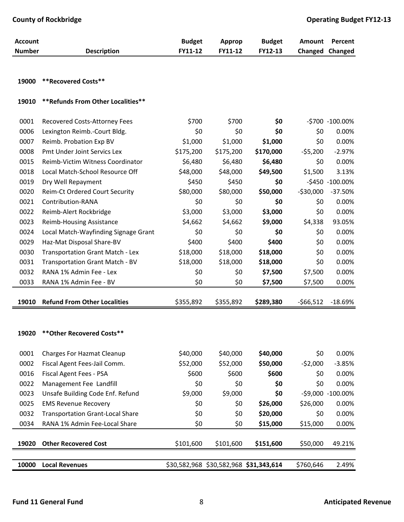| <b>Account</b> |                                         | <b>Budget</b> | Approp    | <b>Budget</b>                          | <b>Amount</b> | Percent           |
|----------------|-----------------------------------------|---------------|-----------|----------------------------------------|---------------|-------------------|
| <b>Number</b>  | <b>Description</b>                      | FY11-12       | FY11-12   | FY12-13                                | Changed       | <b>Changed</b>    |
|                |                                         |               |           |                                        |               |                   |
| 19000          | <b>**Recovered Costs**</b>              |               |           |                                        |               |                   |
|                |                                         |               |           |                                        |               |                   |
| 19010          | ** Refunds From Other Localities**      |               |           |                                        |               |                   |
| 0001           | Recovered Costs-Attorney Fees           | \$700         | \$700     | \$0                                    |               | -\$700 -100.00%   |
| 0006           | Lexington Reimb.-Court Bldg.            | \$0           | \$0       | \$0                                    | \$0           | 0.00%             |
| 0007           | Reimb. Probation Exp BV                 | \$1,000       | \$1,000   | \$1,000                                | \$0           | 0.00%             |
| 0008           | Pmt Under Joint Servics Lex             | \$175,200     | \$175,200 | \$170,000                              | $-55,200$     | $-2.97%$          |
| 0015           | Reimb-Victim Witness Coordinator        | \$6,480       | \$6,480   | \$6,480                                | \$0           | 0.00%             |
| 0018           | Local Match-School Resource Off         | \$48,000      | \$48,000  | \$49,500                               | \$1,500       | 3.13%             |
| 0019           | Dry Well Repayment                      | \$450         | \$450     | \$0                                    |               | -\$450 -100.00%   |
| 0020           | <b>Reim-Ct Ordered Court Security</b>   | \$80,000      | \$80,000  | \$50,000                               | $-530,000$    | $-37.50%$         |
| 0021           | Contribution-RANA                       | \$0           | \$0       | \$0                                    | \$0           | 0.00%             |
| 0022           | Reimb-Alert Rockbridge                  | \$3,000       | \$3,000   | \$3,000                                | \$0           | 0.00%             |
| 0023           | <b>Reimb-Housing Assistance</b>         | \$4,662       | \$4,662   | \$9,000                                | \$4,338       | 93.05%            |
| 0024           | Local Match-Wayfinding Signage Grant    | \$0           | \$0       | \$0                                    | \$0           | 0.00%             |
| 0029           | Haz-Mat Disposal Share-BV               | \$400         | \$400     | \$400                                  | \$0           | 0.00%             |
| 0030           | Transportation Grant Match - Lex        | \$18,000      | \$18,000  | \$18,000                               | \$0           | 0.00%             |
| 0031           | Transportation Grant Match - BV         | \$18,000      | \$18,000  | \$18,000                               | \$0           | 0.00%             |
| 0032           | RANA 1% Admin Fee - Lex                 | \$0           | \$0       | \$7,500                                | \$7,500       | 0.00%             |
| 0033           | RANA 1% Admin Fee - BV                  | \$0           | \$0       | \$7,500                                | \$7,500       | 0.00%             |
|                |                                         |               |           |                                        |               |                   |
| 19010          | <b>Refund From Other Localities</b>     | \$355,892     | \$355,892 | \$289,380                              | $-566,512$    | $-18.69%$         |
|                |                                         |               |           |                                        |               |                   |
| 19020          | ** Other Recovered Costs**              |               |           |                                        |               |                   |
| 0001           | <b>Charges For Hazmat Cleanup</b>       | \$40,000      | \$40,000  | \$40,000                               | \$0           | 0.00%             |
| 0002           | Fiscal Agent Fees-Jail Comm.            | \$52,000      | \$52,000  | \$50,000                               | $-52,000$     | $-3.85%$          |
| 0016           | Fiscal Agent Fees - PSA                 | \$600         | \$600     | \$600                                  | \$0           | 0.00%             |
| 0022           | Management Fee Landfill                 | \$0           | \$0       | \$0                                    | \$0           | 0.00%             |
| 0023           | Unsafe Building Code Enf. Refund        | \$9,000       | \$9,000   | \$0                                    |               | -\$9,000 -100.00% |
| 0025           | <b>EMS Revenue Recovery</b>             | \$0           | \$0       | \$26,000                               | \$26,000      | 0.00%             |
| 0032           | <b>Transportation Grant-Local Share</b> | \$0           | \$0       | \$20,000                               | \$0           | 0.00%             |
| 0034           | RANA 1% Admin Fee-Local Share           | \$0           | \$0       | \$15,000                               | \$15,000      | 0.00%             |
|                |                                         |               |           |                                        |               |                   |
| 19020          | <b>Other Recovered Cost</b>             | \$101,600     | \$101,600 | \$151,600                              | \$50,000      | 49.21%            |
|                |                                         |               |           |                                        |               |                   |
| 10000          | <b>Local Revenues</b>                   |               |           | \$30,582,968 \$30,582,968 \$31,343,614 | \$760,646     | 2.49%             |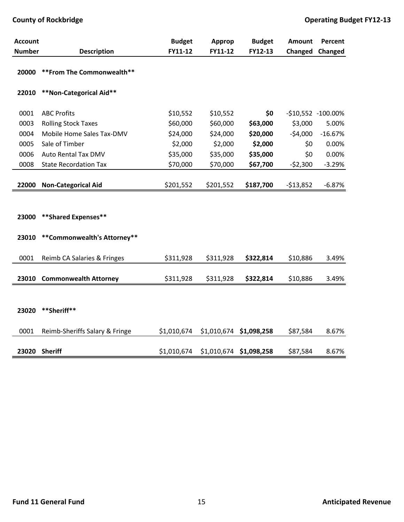| <b>Account</b> |                                | <b>Budget</b> | Approp      | <b>Budget</b> | Amount     | Percent            |
|----------------|--------------------------------|---------------|-------------|---------------|------------|--------------------|
| <b>Number</b>  | <b>Description</b>             | FY11-12       | FY11-12     | FY12-13       | Changed    | Changed            |
| 20000          | ** From The Commonwealth**     |               |             |               |            |                    |
| 22010          | **Non-Categorical Aid**        |               |             |               |            |                    |
| 0001           | <b>ABC Profits</b>             | \$10,552      | \$10,552    | \$0           |            | -\$10,552 -100.00% |
| 0003           | <b>Rolling Stock Taxes</b>     | \$60,000      | \$60,000    | \$63,000      | \$3,000    | 5.00%              |
| 0004           | Mobile Home Sales Tax-DMV      | \$24,000      | \$24,000    | \$20,000      | $-54,000$  | $-16.67%$          |
| 0005           | Sale of Timber                 | \$2,000       | \$2,000     | \$2,000       | \$0        | 0.00%              |
| 0006           | Auto Rental Tax DMV            | \$35,000      | \$35,000    | \$35,000      | \$0        | 0.00%              |
| 0008           | <b>State Recordation Tax</b>   | \$70,000      | \$70,000    | \$67,700      | $-52,300$  | $-3.29%$           |
|                |                                |               |             |               |            |                    |
| 22000          | <b>Non-Categorical Aid</b>     | \$201,552     | \$201,552   | \$187,700     | $-513,852$ | $-6.87%$           |
|                |                                |               |             |               |            |                    |
| 23000          | **Shared Expenses**            |               |             |               |            |                    |
| 23010          | **Commonwealth's Attorney**    |               |             |               |            |                    |
| 0001           | Reimb CA Salaries & Fringes    | \$311,928     | \$311,928   | \$322,814     | \$10,886   | 3.49%              |
| 23010          | <b>Commonwealth Attorney</b>   | \$311,928     | \$311,928   | \$322,814     | \$10,886   | 3.49%              |
|                |                                |               |             |               |            |                    |
| 23020          | **Sheriff**                    |               |             |               |            |                    |
| 0001           | Reimb-Sheriffs Salary & Fringe | \$1,010,674   | \$1,010,674 | \$1,098,258   | \$87,584   | 8.67%              |
| 23020          | <b>Sheriff</b>                 | \$1,010,674   | \$1,010,674 | \$1,098,258   | \$87,584   | 8.67%              |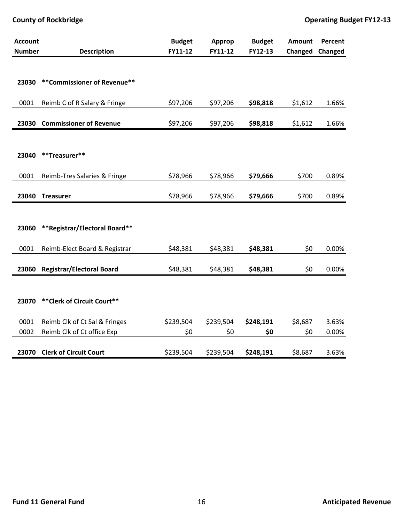| <b>Account</b> |                                  | <b>Budget</b> | Approp    | <b>Budget</b> | <b>Amount</b> | Percent |
|----------------|----------------------------------|---------------|-----------|---------------|---------------|---------|
| <b>Number</b>  | <b>Description</b>               | FY11-12       | FY11-12   | FY12-13       | Changed       | Changed |
|                |                                  |               |           |               |               |         |
| 23030          | ** Commissioner of Revenue**     |               |           |               |               |         |
|                |                                  |               |           |               |               |         |
| 0001           | Reimb C of R Salary & Fringe     | \$97,206      | \$97,206  | \$98,818      | \$1,612       | 1.66%   |
|                |                                  |               |           |               |               |         |
| 23030          | <b>Commissioner of Revenue</b>   | \$97,206      | \$97,206  | \$98,818      | \$1,612       | 1.66%   |
|                |                                  |               |           |               |               |         |
|                |                                  |               |           |               |               |         |
| 23040          | **Treasurer**                    |               |           |               |               |         |
| 0001           | Reimb-Tres Salaries & Fringe     | \$78,966      | \$78,966  | \$79,666      | \$700         | 0.89%   |
|                |                                  |               |           |               |               |         |
| 23040          | <b>Treasurer</b>                 | \$78,966      | \$78,966  | \$79,666      | \$700         | 0.89%   |
|                |                                  |               |           |               |               |         |
|                |                                  |               |           |               |               |         |
| 23060          | **Registrar/Electoral Board**    |               |           |               |               |         |
| 0001           |                                  |               |           |               | \$0           |         |
|                | Reimb-Elect Board & Registrar    | \$48,381      | \$48,381  | \$48,381      |               | 0.00%   |
| 23060          | <b>Registrar/Electoral Board</b> | \$48,381      | \$48,381  | \$48,381      | \$0           | 0.00%   |
|                |                                  |               |           |               |               |         |
|                |                                  |               |           |               |               |         |
| 23070          | ** Clerk of Circuit Court**      |               |           |               |               |         |
| 0001           | Reimb Clk of Ct Sal & Fringes    | \$239,504     | \$239,504 | \$248,191     | \$8,687       | 3.63%   |
| 0002           | Reimb Clk of Ct office Exp       | \$0           | \$0       | \$0           | \$0           | 0.00%   |
|                |                                  |               |           |               |               |         |
| 23070          | <b>Clerk of Circuit Court</b>    | \$239,504     | \$239,504 | \$248,191     | \$8,687       | 3.63%   |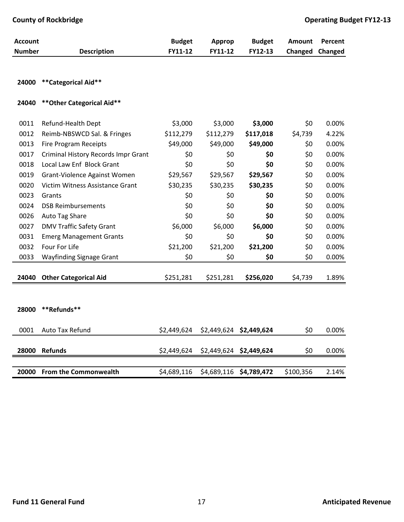| <b>Account</b> |                                     | <b>Budget</b> | <b>Approp</b> | <b>Budget</b>           | Amount    | Percent |
|----------------|-------------------------------------|---------------|---------------|-------------------------|-----------|---------|
| <b>Number</b>  | <b>Description</b>                  | FY11-12       | FY11-12       | FY12-13                 | Changed   | Changed |
|                |                                     |               |               |                         |           |         |
| 24000          | **Categorical Aid**                 |               |               |                         |           |         |
| 24040          | ** Other Categorical Aid**          |               |               |                         |           |         |
| 0011           | Refund-Health Dept                  | \$3,000       | \$3,000       | \$3,000                 | \$0       | 0.00%   |
| 0012           | Reimb-NBSWCD Sal. & Fringes         | \$112,279     | \$112,279     | \$117,018               | \$4,739   | 4.22%   |
| 0013           | <b>Fire Program Receipts</b>        | \$49,000      | \$49,000      | \$49,000                | \$0       | 0.00%   |
| 0017           | Criminal History Records Impr Grant | \$0           | \$0           | \$0                     | \$0       | 0.00%   |
| 0018           | Local Law Enf Block Grant           | \$0           | \$0           | \$0                     | \$0       | 0.00%   |
| 0019           | Grant-Violence Against Women        | \$29,567      | \$29,567      | \$29,567                | \$0       | 0.00%   |
| 0020           | Victim Witness Assistance Grant     | \$30,235      | \$30,235      | \$30,235                | \$0       | 0.00%   |
| 0023           | Grants                              | \$0           | \$0           | \$0                     | \$0       | 0.00%   |
| 0024           | <b>DSB Reimbursements</b>           | \$0           | \$0           | \$0                     | \$0       | 0.00%   |
| 0026           | Auto Tag Share                      | \$0           | \$0           | \$0                     | \$0       | 0.00%   |
| 0027           | <b>DMV Traffic Safety Grant</b>     | \$6,000       | \$6,000       | \$6,000                 | \$0       | 0.00%   |
| 0031           | <b>Emerg Management Grants</b>      | \$0           | \$0           | \$0                     | \$0       | 0.00%   |
| 0032           | Four For Life                       | \$21,200      | \$21,200      | \$21,200                | \$0       | 0.00%   |
| 0033           | <b>Wayfinding Signage Grant</b>     | \$0           | \$0           | \$0                     | \$0       | 0.00%   |
| 24040          | <b>Other Categorical Aid</b>        | \$251,281     | \$251,281     | \$256,020               | \$4,739   | 1.89%   |
|                |                                     |               |               |                         |           |         |
|                |                                     |               |               |                         |           |         |
| 28000          | **Refunds**                         |               |               |                         |           |         |
| 0001           | Auto Tax Refund                     | \$2,449,624   | \$2,449,624   | \$2,449,624             | \$0       | 0.00%   |
| 28000          | <b>Refunds</b>                      | \$2,449,624   |               | \$2,449,624 \$2,449,624 | \$0       | 0.00%   |
|                |                                     |               |               |                         |           |         |
| 20000          | <b>From the Commonwealth</b>        | \$4,689,116   | \$4,689,116   | \$4,789,472             | \$100,356 | 2.14%   |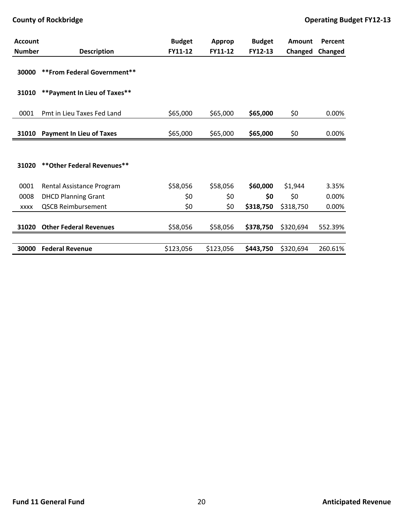| <b>Account</b> |                                 | <b>Budget</b> | Approp    | <b>Budget</b> | Amount    | Percent |
|----------------|---------------------------------|---------------|-----------|---------------|-----------|---------|
| <b>Number</b>  | <b>Description</b>              | FY11-12       | FY11-12   | FY12-13       | Changed   | Changed |
| 30000          | ** From Federal Government**    |               |           |               |           |         |
| 31010          | ** Payment In Lieu of Taxes**   |               |           |               |           |         |
| 0001           | Pmt in Lieu Taxes Fed Land      | \$65,000      | \$65,000  | \$65,000      | \$0       | 0.00%   |
| 31010          | <b>Payment In Lieu of Taxes</b> | \$65,000      | \$65,000  | \$65,000      | \$0       | 0.00%   |
|                |                                 |               |           |               |           |         |
| 31020          | ** Other Federal Revenues**     |               |           |               |           |         |
| 0001           | Rental Assistance Program       | \$58,056      | \$58,056  | \$60,000      | \$1,944   | 3.35%   |
| 0008           | <b>DHCD Planning Grant</b>      | \$0           | \$0       | \$0           | \$0       | 0.00%   |
| <b>XXXX</b>    | <b>QSCB Reimbursement</b>       | \$0           | \$0       | \$318,750     | \$318,750 | 0.00%   |
| 31020          | <b>Other Federal Revenues</b>   | \$58,056      | \$58,056  | \$378,750     | \$320,694 | 552.39% |
| 30000          | <b>Federal Revenue</b>          | \$123,056     | \$123,056 | \$443,750     | \$320,694 | 260.61% |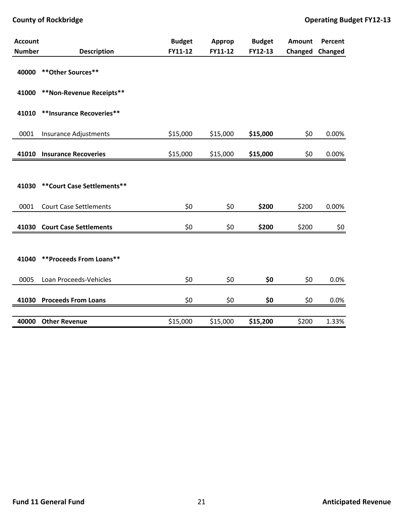| <b>Account</b> |                               | <b>Budget</b> | Approp   | <b>Budget</b> | Amount  | Percent |
|----------------|-------------------------------|---------------|----------|---------------|---------|---------|
| <b>Number</b>  | <b>Description</b>            | FY11-12       | FY11-12  | FY12-13       | Changed | Changed |
| 40000          | ** Other Sources**            |               |          |               |         |         |
| 41000          | **Non-Revenue Receipts**      |               |          |               |         |         |
| 41010          | **Insurance Recoveries**      |               |          |               |         |         |
| 0001           | Insurance Adjustments         | \$15,000      | \$15,000 | \$15,000      | \$0     | 0.00%   |
| 41010          | <b>Insurance Recoveries</b>   | \$15,000      | \$15,000 | \$15,000      | \$0     | 0.00%   |
|                |                               |               |          |               |         |         |
| 41030          | ** Court Case Settlements**   |               |          |               |         |         |
| 0001           | <b>Court Case Settlements</b> | \$0           | \$0      | \$200         | \$200   | 0.00%   |
| 41030          | <b>Court Case Settlements</b> | \$0           | \$0      | \$200         | \$200   | \$0     |
|                |                               |               |          |               |         |         |
| 41040          | **Proceeds From Loans**       |               |          |               |         |         |
| 0005           | Loan Proceeds-Vehicles        | \$0           | \$0      | \$0           | \$0     | 0.0%    |
|                | 41030 Proceeds From Loans     | \$0           | \$0      | \$0           | \$0     | 0.0%    |
| 40000          | <b>Other Revenue</b>          | \$15,000      | \$15,000 | \$15,200      | \$200   | 1.33%   |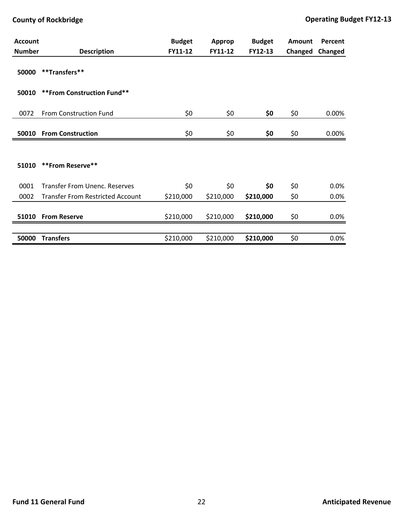| <b>Account</b> |                                         | <b>Budget</b> | Approp    | <b>Budget</b> | <b>Amount</b> | Percent |
|----------------|-----------------------------------------|---------------|-----------|---------------|---------------|---------|
| <b>Number</b>  | <b>Description</b>                      | FY11-12       | FY11-12   | FY12-13       | Changed       | Changed |
| 50000          | **Transfers**                           |               |           |               |               |         |
| 50010          | ** From Construction Fund**             |               |           |               |               |         |
| 0072           | <b>From Construction Fund</b>           | \$0\$         | \$0       | \$0           | \$0           | 0.00%   |
| 50010          | <b>From Construction</b>                | \$0           | \$0       | \$0           | \$0           | 0.00%   |
|                |                                         |               |           |               |               |         |
| 51010          | **From Reserve**                        |               |           |               |               |         |
| 0001           | <b>Transfer From Unenc. Reserves</b>    | \$0           | \$0       | \$0           | \$0           | 0.0%    |
| 0002           | <b>Transfer From Restricted Account</b> | \$210,000     | \$210,000 | \$210,000     | \$0           | 0.0%    |
| 51010          | <b>From Reserve</b>                     | \$210,000     | \$210,000 | \$210,000     | \$0           | 0.0%    |
|                |                                         |               |           |               |               |         |
| 50000          | <b>Transfers</b>                        | \$210,000     | \$210,000 | \$210,000     | \$0           | 0.0%    |